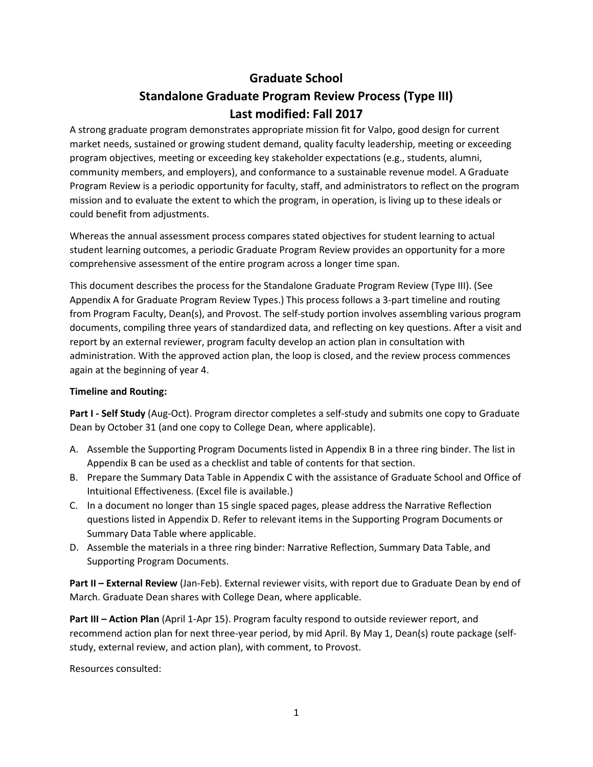## **Graduate School**

# **Standalone Graduate Program Review Process (Type III) Last modified: Fall 2017**

A strong graduate program demonstrates appropriate mission fit for Valpo, good design for current market needs, sustained or growing student demand, quality faculty leadership, meeting or exceeding program objectives, meeting or exceeding key stakeholder expectations (e.g., students, alumni, community members, and employers), and conformance to a sustainable revenue model. A Graduate Program Review is a periodic opportunity for faculty, staff, and administrators to reflect on the program mission and to evaluate the extent to which the program, in operation, is living up to these ideals or could benefit from adjustments.

Whereas the annual assessment process compares stated objectives for student learning to actual student learning outcomes, a periodic Graduate Program Review provides an opportunity for a more comprehensive assessment of the entire program across a longer time span.

This document describes the process for the Standalone Graduate Program Review (Type III). (See Appendix A for Graduate Program Review Types.) This process follows a 3-part timeline and routing from Program Faculty, Dean(s), and Provost. The self-study portion involves assembling various program documents, compiling three years of standardized data, and reflecting on key questions. After a visit and report by an external reviewer, program faculty develop an action plan in consultation with administration. With the approved action plan, the loop is closed, and the review process commences again at the beginning of year 4.

## **Timeline and Routing:**

**Part I - Self Study** (Aug-Oct). Program director completes a self-study and submits one copy to Graduate Dean by October 31 (and one copy to College Dean, where applicable).

- A. Assemble the Supporting Program Documents listed in Appendix B in a three ring binder. The list in Appendix B can be used as a checklist and table of contents for that section.
- B. Prepare the Summary Data Table in Appendix C with the assistance of Graduate School and Office of Intuitional Effectiveness. (Excel file is available.)
- C. In a document no longer than 15 single spaced pages, please address the Narrative Reflection questions listed in Appendix D. Refer to relevant items in the Supporting Program Documents or Summary Data Table where applicable.
- D. Assemble the materials in a three ring binder: Narrative Reflection, Summary Data Table, and Supporting Program Documents.

**Part II – External Review** (Jan-Feb). External reviewer visits, with report due to Graduate Dean by end of March. Graduate Dean shares with College Dean, where applicable.

**Part III – Action Plan** (April 1-Apr 15). Program faculty respond to outside reviewer report, and recommend action plan for next three-year period, by mid April. By May 1, Dean(s) route package (selfstudy, external review, and action plan), with comment, to Provost.

Resources consulted: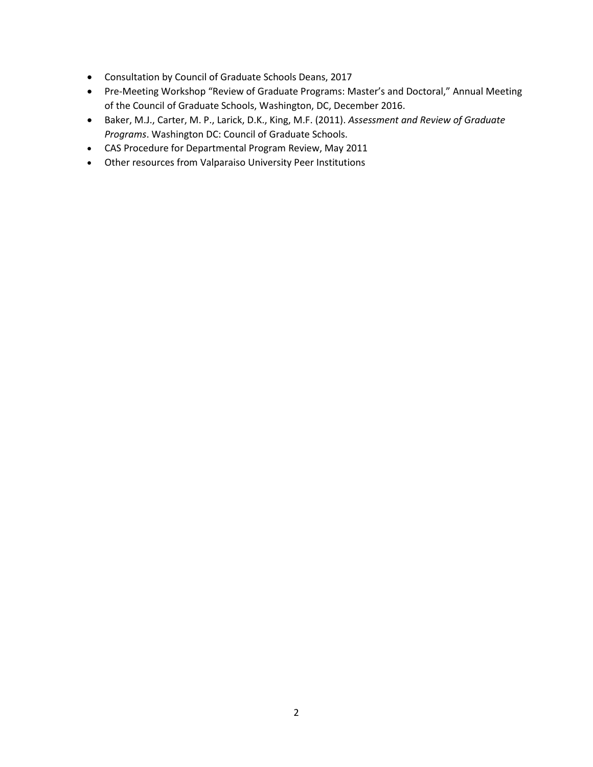- Consultation by Council of Graduate Schools Deans, 2017
- Pre-Meeting Workshop "Review of Graduate Programs: Master's and Doctoral," Annual Meeting of the Council of Graduate Schools, Washington, DC, December 2016.
- Baker, M.J., Carter, M. P., Larick, D.K., King, M.F. (2011). *Assessment and Review of Graduate Programs*. Washington DC: Council of Graduate Schools.
- CAS Procedure for Departmental Program Review, May 2011
- Other resources from Valparaiso University Peer Institutions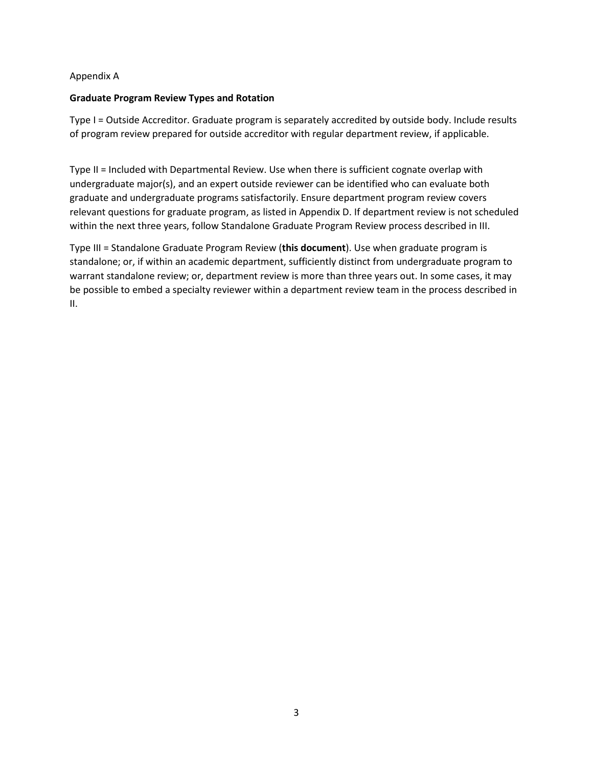#### Appendix A

#### **Graduate Program Review Types and Rotation**

Type I = Outside Accreditor. Graduate program is separately accredited by outside body. Include results of program review prepared for outside accreditor with regular department review, if applicable.

Type II = Included with Departmental Review. Use when there is sufficient cognate overlap with undergraduate major(s), and an expert outside reviewer can be identified who can evaluate both graduate and undergraduate programs satisfactorily. Ensure department program review covers relevant questions for graduate program, as listed in Appendix D. If department review is not scheduled within the next three years, follow Standalone Graduate Program Review process described in III.

Type III = Standalone Graduate Program Review (**this document**). Use when graduate program is standalone; or, if within an academic department, sufficiently distinct from undergraduate program to warrant standalone review; or, department review is more than three years out. In some cases, it may be possible to embed a specialty reviewer within a department review team in the process described in II.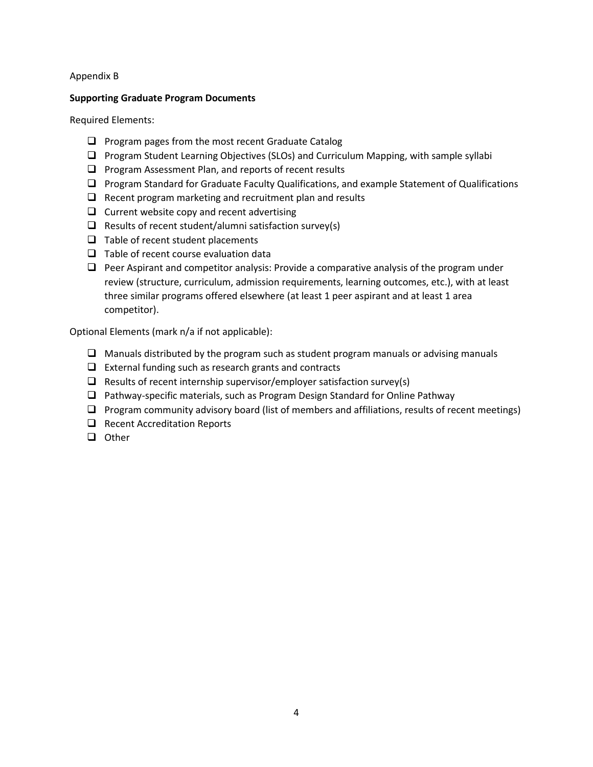#### Appendix B

#### **Supporting Graduate Program Documents**

Required Elements:

- $\Box$  Program pages from the most recent Graduate Catalog
- **Program Student Learning Objectives (SLOs) and Curriculum Mapping, with sample syllabi**
- $\Box$  Program Assessment Plan, and reports of recent results
- $\Box$  Program Standard for Graduate Faculty Qualifications, and example Statement of Qualifications
- $\Box$  Recent program marketing and recruitment plan and results
- $\Box$  Current website copy and recent advertising
- $\Box$  Results of recent student/alumni satisfaction survey(s)
- $\Box$  Table of recent student placements
- $\Box$  Table of recent course evaluation data
- $\Box$  Peer Aspirant and competitor analysis: Provide a comparative analysis of the program under review (structure, curriculum, admission requirements, learning outcomes, etc.), with at least three similar programs offered elsewhere (at least 1 peer aspirant and at least 1 area competitor).

Optional Elements (mark n/a if not applicable):

- $\Box$  Manuals distributed by the program such as student program manuals or advising manuals
- $\Box$  External funding such as research grants and contracts
- $\Box$  Results of recent internship supervisor/employer satisfaction survey(s)
- $\Box$  Pathway-specific materials, such as Program Design Standard for Online Pathway
- $\Box$  Program community advisory board (list of members and affiliations, results of recent meetings)
- $\Box$  Recent Accreditation Reports
- $\Box$  Other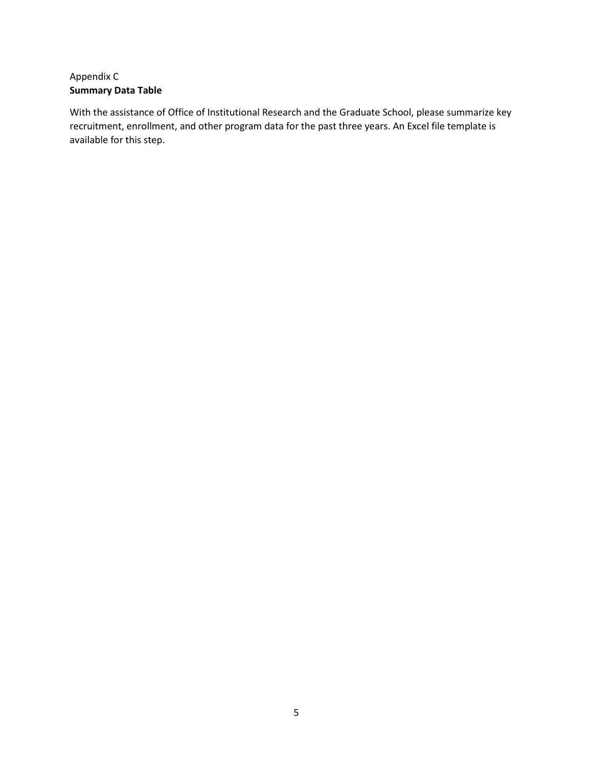## Appendix C **Summary Data Table**

With the assistance of Office of Institutional Research and the Graduate School, please summarize key recruitment, enrollment, and other program data for the past three years. An Excel file template is available for this step.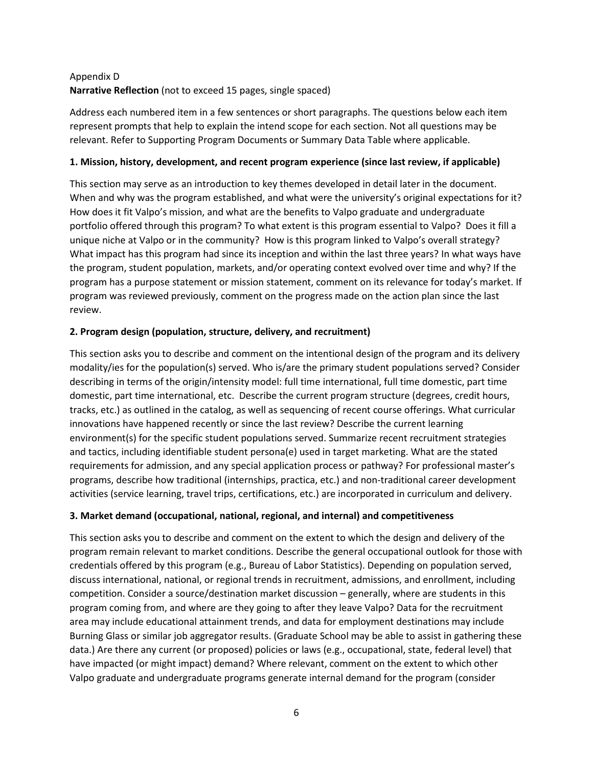## Appendix D **Narrative Reflection** (not to exceed 15 pages, single spaced)

Address each numbered item in a few sentences or short paragraphs. The questions below each item represent prompts that help to explain the intend scope for each section. Not all questions may be relevant. Refer to Supporting Program Documents or Summary Data Table where applicable.

## **1. Mission, history, development, and recent program experience (since last review, if applicable)**

This section may serve as an introduction to key themes developed in detail later in the document. When and why was the program established, and what were the university's original expectations for it? How does it fit Valpo's mission, and what are the benefits to Valpo graduate and undergraduate portfolio offered through this program? To what extent is this program essential to Valpo? Does it fill a unique niche at Valpo or in the community? How is this program linked to Valpo's overall strategy? What impact has this program had since its inception and within the last three years? In what ways have the program, student population, markets, and/or operating context evolved over time and why? If the program has a purpose statement or mission statement, comment on its relevance for today's market. If program was reviewed previously, comment on the progress made on the action plan since the last review.

## **2. Program design (population, structure, delivery, and recruitment)**

This section asks you to describe and comment on the intentional design of the program and its delivery modality/ies for the population(s) served. Who is/are the primary student populations served? Consider describing in terms of the origin/intensity model: full time international, full time domestic, part time domestic, part time international, etc. Describe the current program structure (degrees, credit hours, tracks, etc.) as outlined in the catalog, as well as sequencing of recent course offerings. What curricular innovations have happened recently or since the last review? Describe the current learning environment(s) for the specific student populations served. Summarize recent recruitment strategies and tactics, including identifiable student persona(e) used in target marketing. What are the stated requirements for admission, and any special application process or pathway? For professional master's programs, describe how traditional (internships, practica, etc.) and non-traditional career development activities (service learning, travel trips, certifications, etc.) are incorporated in curriculum and delivery.

## **3. Market demand (occupational, national, regional, and internal) and competitiveness**

This section asks you to describe and comment on the extent to which the design and delivery of the program remain relevant to market conditions. Describe the general occupational outlook for those with credentials offered by this program (e.g., Bureau of Labor Statistics). Depending on population served, discuss international, national, or regional trends in recruitment, admissions, and enrollment, including competition. Consider a source/destination market discussion – generally, where are students in this program coming from, and where are they going to after they leave Valpo? Data for the recruitment area may include educational attainment trends, and data for employment destinations may include Burning Glass or similar job aggregator results. (Graduate School may be able to assist in gathering these data.) Are there any current (or proposed) policies or laws (e.g., occupational, state, federal level) that have impacted (or might impact) demand? Where relevant, comment on the extent to which other Valpo graduate and undergraduate programs generate internal demand for the program (consider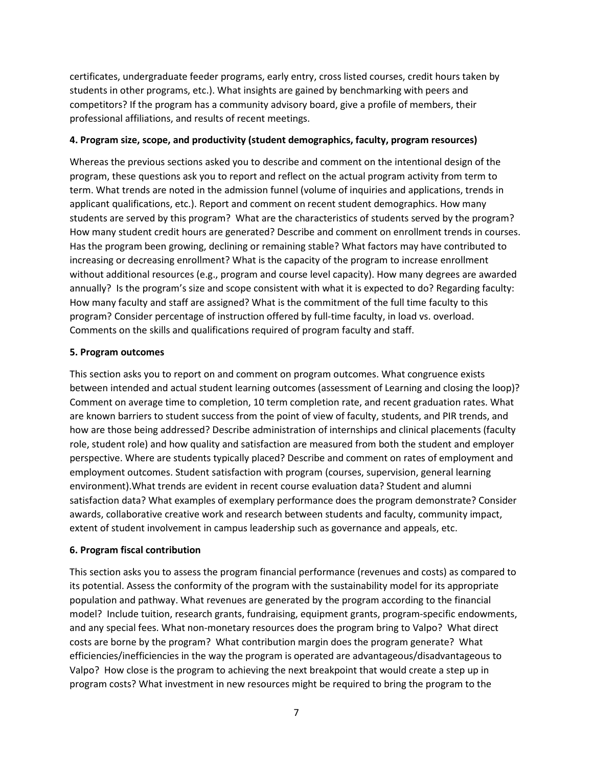certificates, undergraduate feeder programs, early entry, cross listed courses, credit hours taken by students in other programs, etc.). What insights are gained by benchmarking with peers and competitors? If the program has a community advisory board, give a profile of members, their professional affiliations, and results of recent meetings.

#### **4. Program size, scope, and productivity (student demographics, faculty, program resources)**

Whereas the previous sections asked you to describe and comment on the intentional design of the program, these questions ask you to report and reflect on the actual program activity from term to term. What trends are noted in the admission funnel (volume of inquiries and applications, trends in applicant qualifications, etc.). Report and comment on recent student demographics. How many students are served by this program? What are the characteristics of students served by the program? How many student credit hours are generated? Describe and comment on enrollment trends in courses. Has the program been growing, declining or remaining stable? What factors may have contributed to increasing or decreasing enrollment? What is the capacity of the program to increase enrollment without additional resources (e.g., program and course level capacity). How many degrees are awarded annually? Is the program's size and scope consistent with what it is expected to do? Regarding faculty: How many faculty and staff are assigned? What is the commitment of the full time faculty to this program? Consider percentage of instruction offered by full-time faculty, in load vs. overload. Comments on the skills and qualifications required of program faculty and staff.

#### **5. Program outcomes**

This section asks you to report on and comment on program outcomes. What congruence exists between intended and actual student learning outcomes (assessment of Learning and closing the loop)? Comment on average time to completion, 10 term completion rate, and recent graduation rates. What are known barriers to student success from the point of view of faculty, students, and PIR trends, and how are those being addressed? Describe administration of internships and clinical placements (faculty role, student role) and how quality and satisfaction are measured from both the student and employer perspective. Where are students typically placed? Describe and comment on rates of employment and employment outcomes. Student satisfaction with program (courses, supervision, general learning environment).What trends are evident in recent course evaluation data? Student and alumni satisfaction data? What examples of exemplary performance does the program demonstrate? Consider awards, collaborative creative work and research between students and faculty, community impact, extent of student involvement in campus leadership such as governance and appeals, etc.

#### **6. Program fiscal contribution**

This section asks you to assess the program financial performance (revenues and costs) as compared to its potential. Assess the conformity of the program with the sustainability model for its appropriate population and pathway. What revenues are generated by the program according to the financial model? Include tuition, research grants, fundraising, equipment grants, program-specific endowments, and any special fees. What non-monetary resources does the program bring to Valpo? What direct costs are borne by the program? What contribution margin does the program generate? What efficiencies/inefficiencies in the way the program is operated are advantageous/disadvantageous to Valpo? How close is the program to achieving the next breakpoint that would create a step up in program costs? What investment in new resources might be required to bring the program to the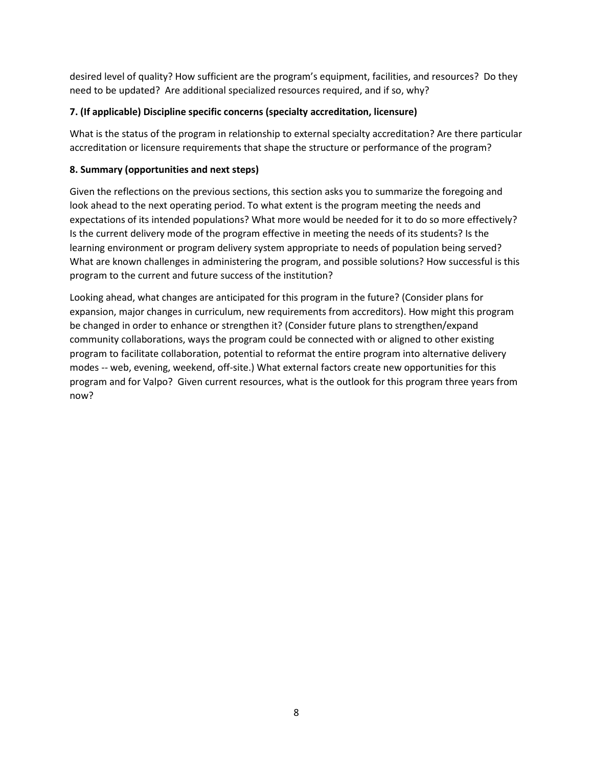desired level of quality? How sufficient are the program's equipment, facilities, and resources? Do they need to be updated? Are additional specialized resources required, and if so, why?

## **7. (If applicable) Discipline specific concerns (specialty accreditation, licensure)**

What is the status of the program in relationship to external specialty accreditation? Are there particular accreditation or licensure requirements that shape the structure or performance of the program?

## **8. Summary (opportunities and next steps)**

Given the reflections on the previous sections, this section asks you to summarize the foregoing and look ahead to the next operating period. To what extent is the program meeting the needs and expectations of its intended populations? What more would be needed for it to do so more effectively? Is the current delivery mode of the program effective in meeting the needs of its students? Is the learning environment or program delivery system appropriate to needs of population being served? What are known challenges in administering the program, and possible solutions? How successful is this program to the current and future success of the institution?

Looking ahead, what changes are anticipated for this program in the future? (Consider plans for expansion, major changes in curriculum, new requirements from accreditors). How might this program be changed in order to enhance or strengthen it? (Consider future plans to strengthen/expand community collaborations, ways the program could be connected with or aligned to other existing program to facilitate collaboration, potential to reformat the entire program into alternative delivery modes -- web, evening, weekend, off-site.) What external factors create new opportunities for this program and for Valpo? Given current resources, what is the outlook for this program three years from now?